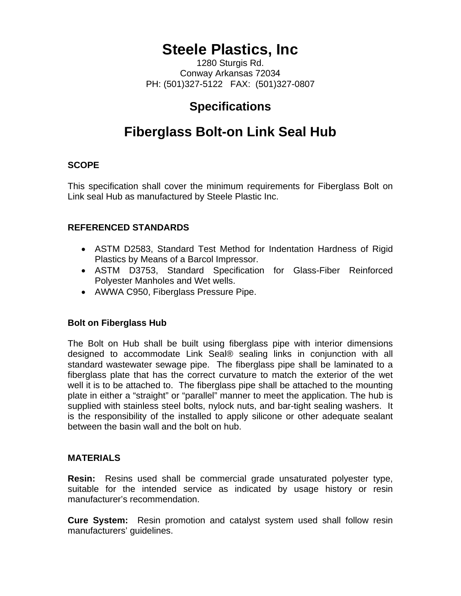# **Steele Plastics, Inc**

1280 Sturgis Rd. Conway Arkansas 72034 PH: (501)327-5122 FAX: (501)327-0807

## **Specifications**

# **Fiberglass Bolt-on Link Seal Hub**

### **SCOPE**

This specification shall cover the minimum requirements for Fiberglass Bolt on Link seal Hub as manufactured by Steele Plastic Inc.

#### **REFERENCED STANDARDS**

- ASTM D2583, Standard Test Method for Indentation Hardness of Rigid Plastics by Means of a Barcol Impressor.
- ASTM D3753, Standard Specification for Glass-Fiber Reinforced Polyester Manholes and Wet wells.
- AWWA C950, Fiberglass Pressure Pipe.

#### **Bolt on Fiberglass Hub**

The Bolt on Hub shall be built using fiberglass pipe with interior dimensions designed to accommodate Link Seal® sealing links in conjunction with all standard wastewater sewage pipe. The fiberglass pipe shall be laminated to a fiberglass plate that has the correct curvature to match the exterior of the wet well it is to be attached to. The fiberglass pipe shall be attached to the mounting plate in either a "straight" or "parallel" manner to meet the application. The hub is supplied with stainless steel bolts, nylock nuts, and bar-tight sealing washers. It is the responsibility of the installed to apply silicone or other adequate sealant between the basin wall and the bolt on hub.

#### **MATERIALS**

**Resin:** Resins used shall be commercial grade unsaturated polyester type, suitable for the intended service as indicated by usage history or resin manufacturer's recommendation.

**Cure System:** Resin promotion and catalyst system used shall follow resin manufacturers' guidelines.